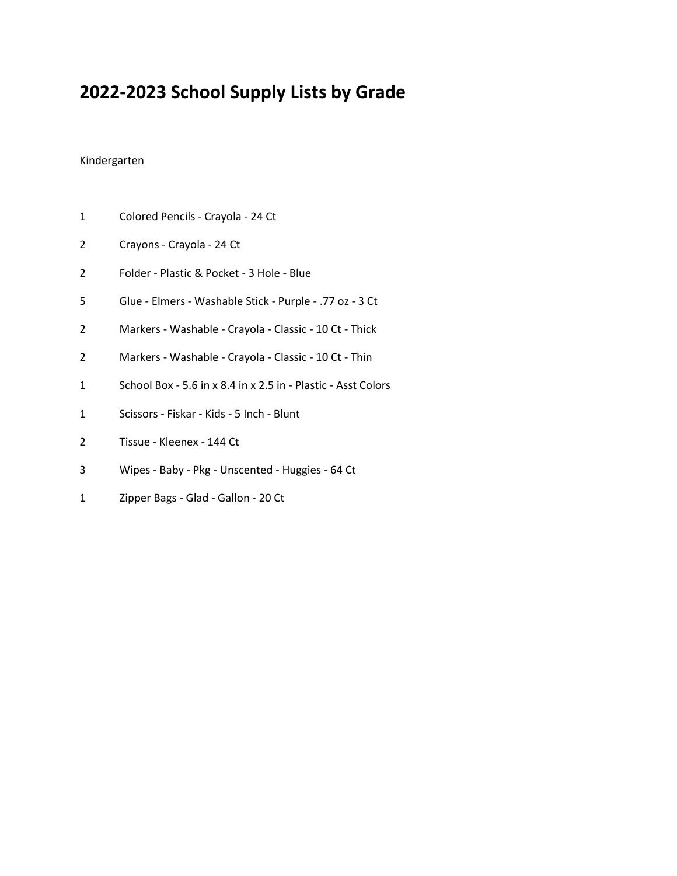# **2022-2023 School Supply Lists by Grade**

#### Kindergarten

- Colored Pencils Crayola 24 Ct
- Crayons Crayola 24 Ct
- Folder Plastic & Pocket 3 Hole Blue
- Glue Elmers Washable Stick Purple .77 oz 3 Ct
- Markers Washable Crayola Classic 10 Ct Thick
- Markers Washable Crayola Classic 10 Ct Thin
- School Box 5.6 in x 8.4 in x 2.5 in Plastic Asst Colors
- Scissors Fiskar Kids 5 Inch Blunt
- Tissue Kleenex 144 Ct
- Wipes Baby Pkg Unscented Huggies 64 Ct
- Zipper Bags Glad Gallon 20 Ct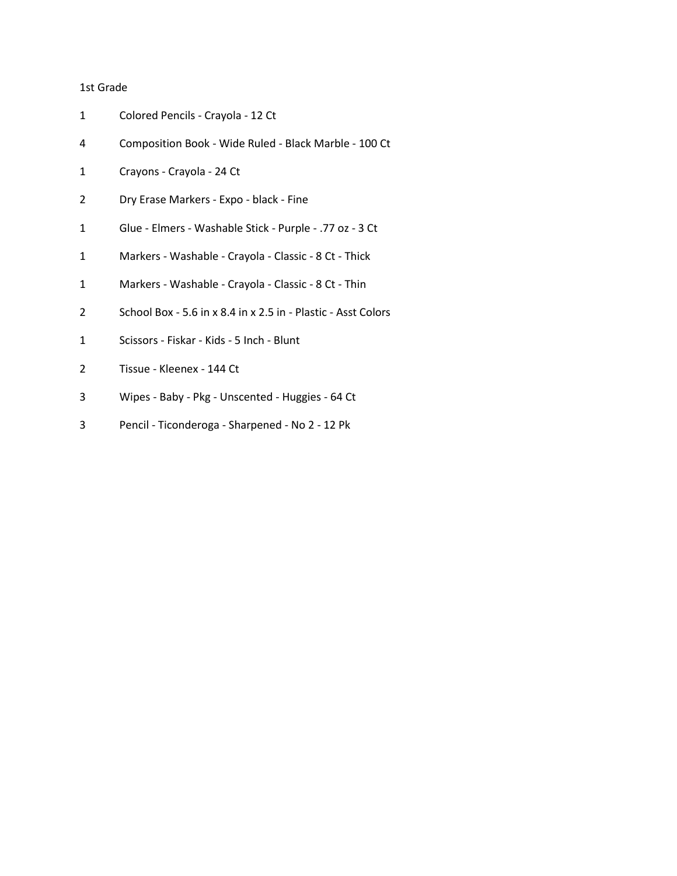#### 1st Grade

| 1 | Colored Pencils - Crayola - 12 Ct                             |
|---|---------------------------------------------------------------|
| 4 | Composition Book - Wide Ruled - Black Marble - 100 Ct         |
| 1 | Crayons - Crayola - 24 Ct                                     |
| 2 | Dry Erase Markers - Expo - black - Fine                       |
| 1 | Glue - Elmers - Washable Stick - Purple - .77 oz - 3 Ct       |
| 1 | Markers - Washable - Crayola - Classic - 8 Ct - Thick         |
| 1 | Markers - Washable - Crayola - Classic - 8 Ct - Thin          |
| 2 | School Box - 5.6 in x 8.4 in x 2.5 in - Plastic - Asst Colors |
| 1 | Scissors - Fiskar - Kids - 5 Inch - Blunt                     |
| 2 | Tissue - Kleenex - 144 Ct                                     |
| 3 | Wipes - Baby - Pkg - Unscented - Huggies - 64 Ct              |
| 3 | Pencil - Ticonderoga - Sharpened - No 2 - 12 Pk               |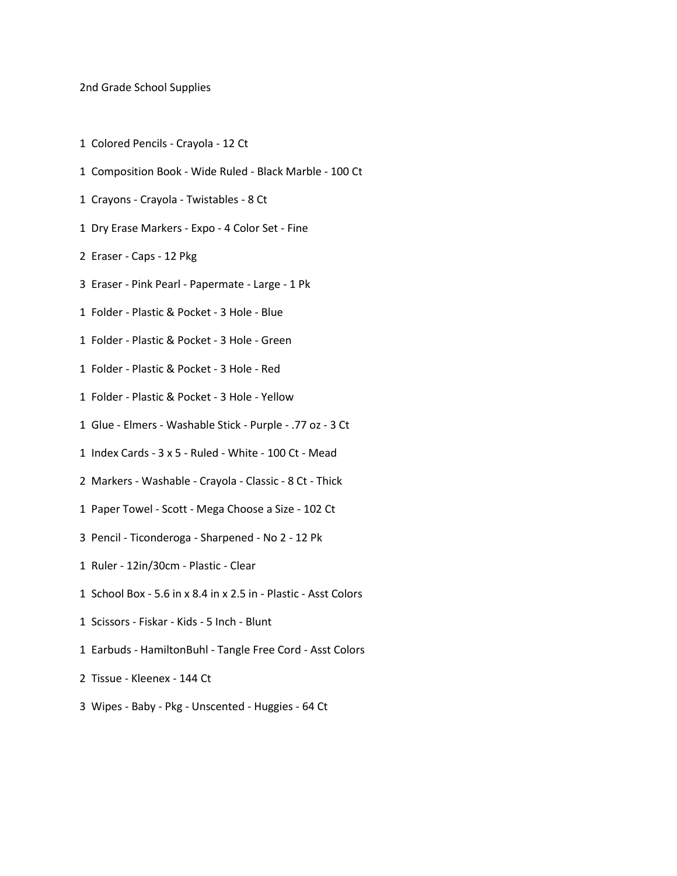#### 2nd Grade School Supplies

- 1 Colored Pencils Crayola 12 Ct
- 1 Composition Book Wide Ruled Black Marble 100 Ct
- 1 Crayons Crayola Twistables 8 Ct
- 1 Dry Erase Markers Expo 4 Color Set Fine
- 2 Eraser Caps 12 Pkg
- 3 Eraser Pink Pearl Papermate Large 1 Pk
- 1 Folder Plastic & Pocket 3 Hole Blue
- 1 Folder Plastic & Pocket 3 Hole Green
- 1 Folder Plastic & Pocket 3 Hole Red
- 1 Folder Plastic & Pocket 3 Hole Yellow
- 1 Glue Elmers Washable Stick Purple .77 oz 3 Ct
- 1 Index Cards 3 x 5 Ruled White 100 Ct Mead
- 2 Markers Washable Crayola Classic 8 Ct Thick
- 1 Paper Towel Scott Mega Choose a Size 102 Ct
- 3 Pencil Ticonderoga Sharpened No 2 12 Pk
- 1 Ruler 12in/30cm Plastic Clear
- 1 School Box 5.6 in x 8.4 in x 2.5 in Plastic Asst Colors
- 1 Scissors Fiskar Kids 5 Inch Blunt
- 1 Earbuds HamiltonBuhl Tangle Free Cord Asst Colors
- 2 Tissue Kleenex 144 Ct
- 3 Wipes Baby Pkg Unscented Huggies 64 Ct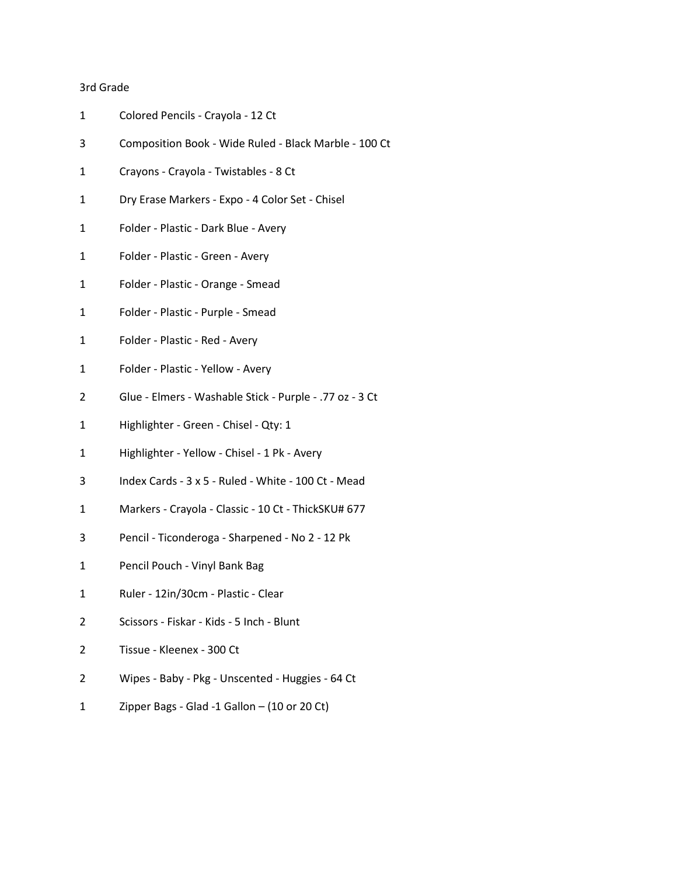### 3rd Grade

| 1 | Colored Pencils - Crayola - 12 Ct                       |
|---|---------------------------------------------------------|
| 3 | Composition Book - Wide Ruled - Black Marble - 100 Ct   |
| 1 | Crayons - Crayola - Twistables - 8 Ct                   |
| 1 | Dry Erase Markers - Expo - 4 Color Set - Chisel         |
| 1 | Folder - Plastic - Dark Blue - Avery                    |
| 1 | Folder - Plastic - Green - Avery                        |
| 1 | Folder - Plastic - Orange - Smead                       |
| 1 | Folder - Plastic - Purple - Smead                       |
| 1 | Folder - Plastic - Red - Avery                          |
| 1 | Folder - Plastic - Yellow - Avery                       |
| 2 | Glue - Elmers - Washable Stick - Purple - .77 oz - 3 Ct |
| 1 | Highlighter - Green - Chisel - Qty: 1                   |
| 1 | Highlighter - Yellow - Chisel - 1 Pk - Avery            |
| 3 | Index Cards - 3 x 5 - Ruled - White - 100 Ct - Mead     |
| 1 | Markers - Crayola - Classic - 10 Ct - ThickSKU# 677     |
| 3 | Pencil - Ticonderoga - Sharpened - No 2 - 12 Pk         |
| 1 | Pencil Pouch - Vinyl Bank Bag                           |
| 1 | Ruler - 12in/30cm - Plastic - Clear                     |
| 2 | Scissors - Fiskar - Kids - 5 Inch - Blunt               |
| 2 | Tissue - Kleenex - 300 Ct                               |
| 2 | Wipes - Baby - Pkg - Unscented - Huggies - 64 Ct        |
| 1 | Zipper Bags - Glad -1 Gallon $-$ (10 or 20 Ct)          |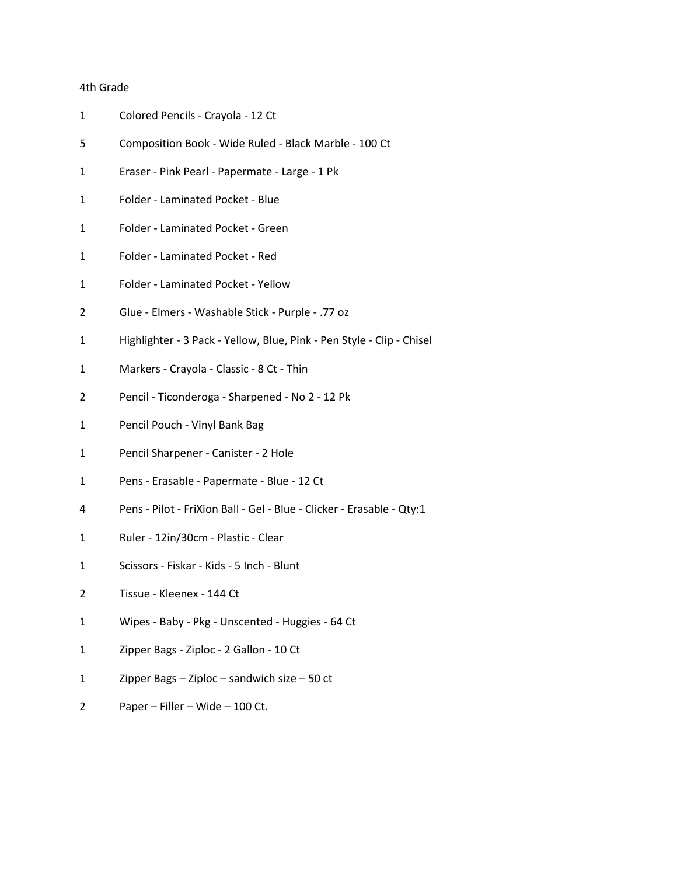### 4th Grade

| 1 | Colored Pencils - Crayola - 12 Ct                                     |
|---|-----------------------------------------------------------------------|
| 5 | Composition Book - Wide Ruled - Black Marble - 100 Ct                 |
| 1 | Eraser - Pink Pearl - Papermate - Large - 1 Pk                        |
| 1 | Folder - Laminated Pocket - Blue                                      |
| 1 | Folder - Laminated Pocket - Green                                     |
| 1 | Folder - Laminated Pocket - Red                                       |
| 1 | Folder - Laminated Pocket - Yellow                                    |
| 2 | Glue - Elmers - Washable Stick - Purple - .77 oz                      |
| 1 | Highlighter - 3 Pack - Yellow, Blue, Pink - Pen Style - Clip - Chisel |
| 1 | Markers - Crayola - Classic - 8 Ct - Thin                             |
| 2 | Pencil - Ticonderoga - Sharpened - No 2 - 12 Pk                       |
| 1 | Pencil Pouch - Vinyl Bank Bag                                         |
| 1 | Pencil Sharpener - Canister - 2 Hole                                  |
| 1 | Pens - Erasable - Papermate - Blue - 12 Ct                            |
| 4 | Pens - Pilot - FriXion Ball - Gel - Blue - Clicker - Erasable - Qty:1 |
| 1 | Ruler - 12in/30cm - Plastic - Clear                                   |
| 1 | Scissors - Fiskar - Kids - 5 Inch - Blunt                             |
| 2 | Tissue - Kleenex - 144 Ct                                             |
| 1 | Wipes - Baby - Pkg - Unscented - Huggies - 64 Ct                      |
| 1 | Zipper Bags - Ziploc - 2 Gallon - 10 Ct                               |
| 1 | Zipper Bags $-$ Ziploc $-$ sandwich size $-50$ ct                     |
| 2 | Paper - Filler - Wide - 100 Ct.                                       |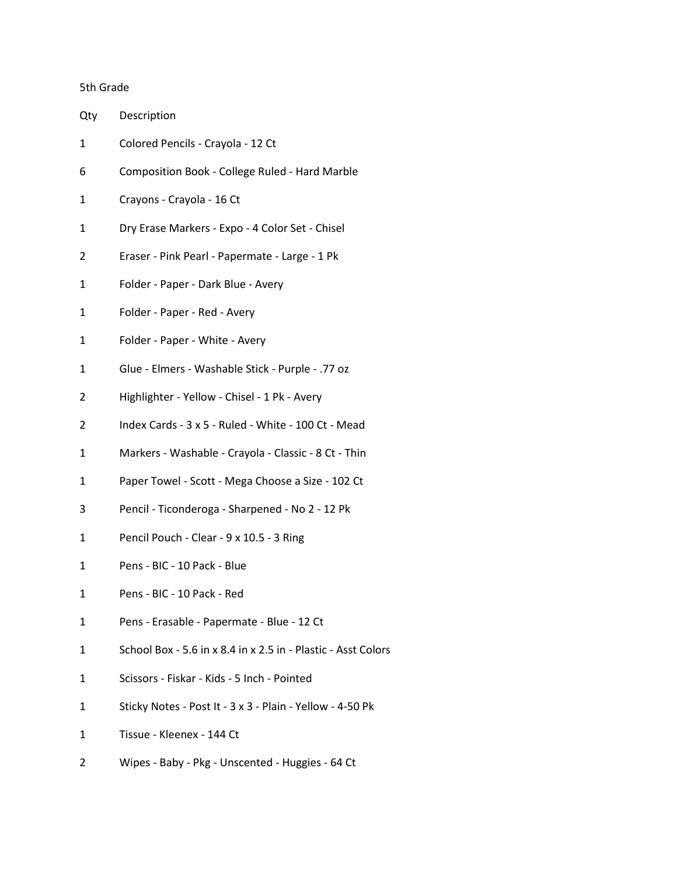# 5th Grade

| Qty | Description                                                   |
|-----|---------------------------------------------------------------|
| 1   | Colored Pencils - Crayola - 12 Ct                             |
| 6   | Composition Book - College Ruled - Hard Marble                |
| 1   | Crayons - Crayola - 16 Ct                                     |
| 1   | Dry Erase Markers - Expo - 4 Color Set - Chisel               |
| 2   | Eraser - Pink Pearl - Papermate - Large - 1 Pk                |
| 1   | Folder - Paper - Dark Blue - Avery                            |
| 1   | Folder - Paper - Red - Avery                                  |
| 1   | Folder - Paper - White - Avery                                |
| 1   | Glue - Elmers - Washable Stick - Purple - .77 oz              |
| 2   | Highlighter - Yellow - Chisel - 1 Pk - Avery                  |
| 2   | Index Cards - 3 x 5 - Ruled - White - 100 Ct - Mead           |
| 1   | Markers - Washable - Crayola - Classic - 8 Ct - Thin          |
| 1   | Paper Towel - Scott - Mega Choose a Size - 102 Ct             |
| 3   | Pencil - Ticonderoga - Sharpened - No 2 - 12 Pk               |
| 1   | Pencil Pouch - Clear - 9 x 10.5 - 3 Ring                      |
| 1   | Pens - BIC - 10 Pack - Blue                                   |
| 1   | Pens - BIC - 10 Pack - Red                                    |
| 1   | Pens - Erasable - Papermate - Blue - 12 Ct                    |
| 1   | School Box - 5.6 in x 8.4 in x 2.5 in - Plastic - Asst Colors |
| 1   | Scissors - Fiskar - Kids - 5 Inch - Pointed                   |
| 1   | Sticky Notes - Post It - 3 x 3 - Plain - Yellow - 4-50 Pk     |
| 1   | Tissue - Kleenex - 144 Ct                                     |
| 2   | Wipes - Baby - Pkg - Unscented - Huggies - 64 Ct              |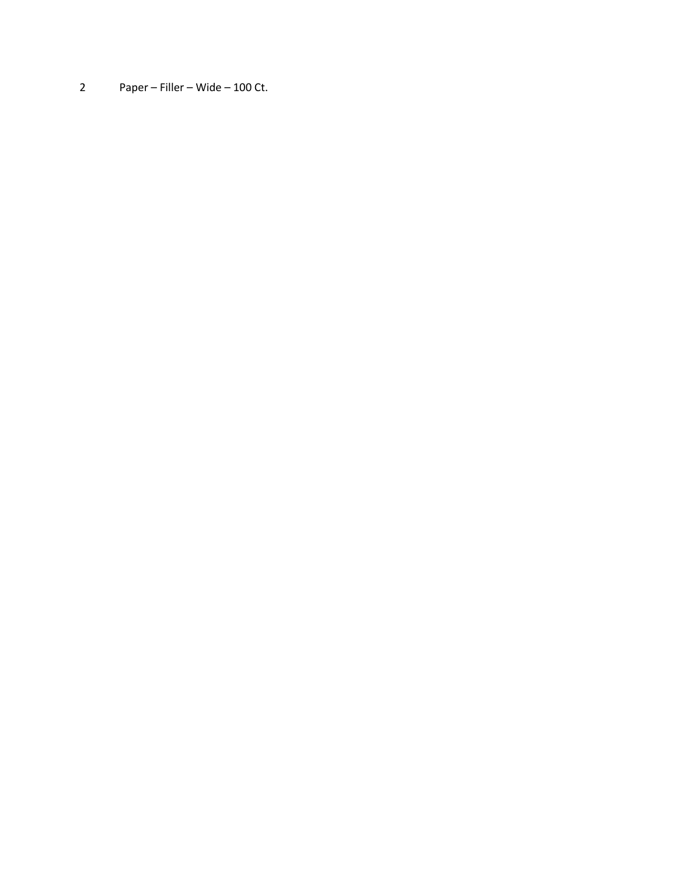2 Paper – Filler – Wide – 100 Ct.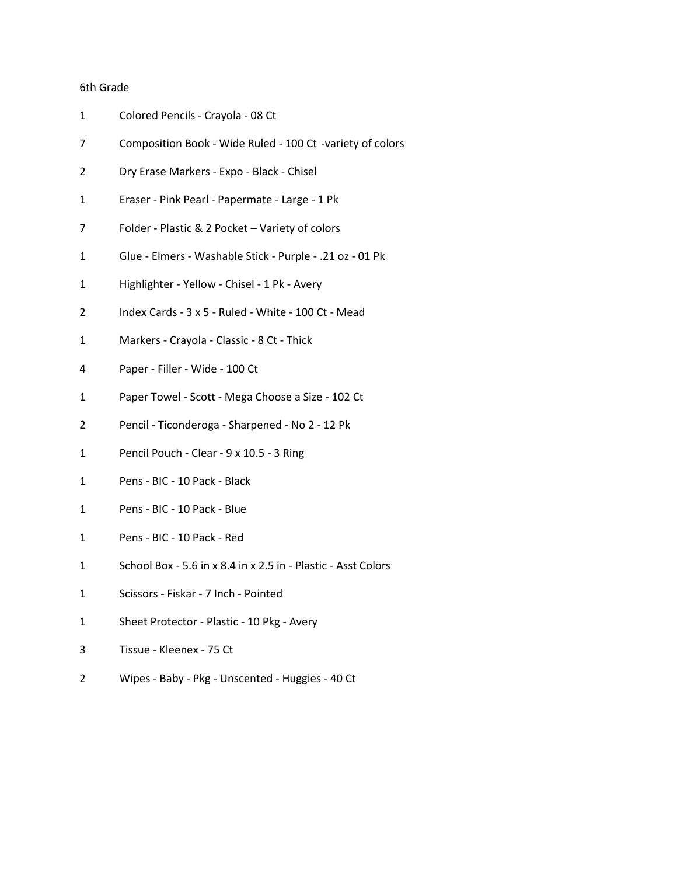# 6th Grade

| 1 | Colored Pencils - Crayola - 08 Ct                             |
|---|---------------------------------------------------------------|
| 7 | Composition Book - Wide Ruled - 100 Ct -variety of colors     |
| 2 | Dry Erase Markers - Expo - Black - Chisel                     |
| 1 | Eraser - Pink Pearl - Papermate - Large - 1 Pk                |
| 7 | Folder - Plastic & 2 Pocket - Variety of colors               |
| 1 | Glue - Elmers - Washable Stick - Purple - .21 oz - 01 Pk      |
| 1 | Highlighter - Yellow - Chisel - 1 Pk - Avery                  |
| 2 | Index Cards - 3 x 5 - Ruled - White - 100 Ct - Mead           |
| 1 | Markers - Crayola - Classic - 8 Ct - Thick                    |
| 4 | Paper - Filler - Wide - 100 Ct                                |
| 1 | Paper Towel - Scott - Mega Choose a Size - 102 Ct             |
| 2 | Pencil - Ticonderoga - Sharpened - No 2 - 12 Pk               |
| 1 | Pencil Pouch - Clear - 9 x 10.5 - 3 Ring                      |
| 1 | Pens - BIC - 10 Pack - Black                                  |
| 1 | Pens - BIC - 10 Pack - Blue                                   |
| 1 | Pens - BIC - 10 Pack - Red                                    |
| 1 | School Box - 5.6 in x 8.4 in x 2.5 in - Plastic - Asst Colors |
| 1 | Scissors - Fiskar - 7 Inch - Pointed                          |
| 1 | Sheet Protector - Plastic - 10 Pkg - Avery                    |
| 3 | Tissue - Kleenex - 75 Ct                                      |
| 2 | Wipes - Baby - Pkg - Unscented - Huggies - 40 Ct              |